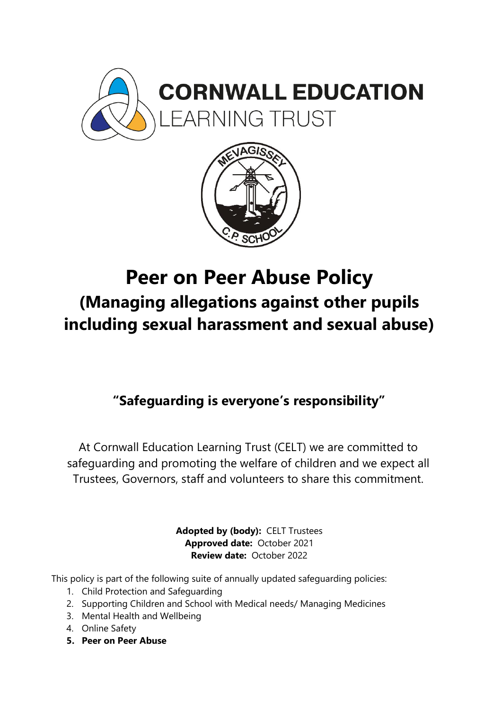



# **Peer on Peer Abuse Policy (Managing allegations against other pupils including sexual harassment and sexual abuse)**

### **"Safeguarding is everyone's responsibility"**

At Cornwall Education Learning Trust (CELT) we are committed to safeguarding and promoting the welfare of children and we expect all Trustees, Governors, staff and volunteers to share this commitment.

> **Adopted by (body):** CELT Trustees **Approved date:** October 2021 **Review date:** October 2022

This policy is part of the following suite of annually updated safeguarding policies:

- 1. Child Protection and Safeguarding
- 2. Supporting Children and School with Medical needs/ Managing Medicines
- 3. Mental Health and Wellbeing
- 4. Online Safety
- **5. Peer on Peer Abuse**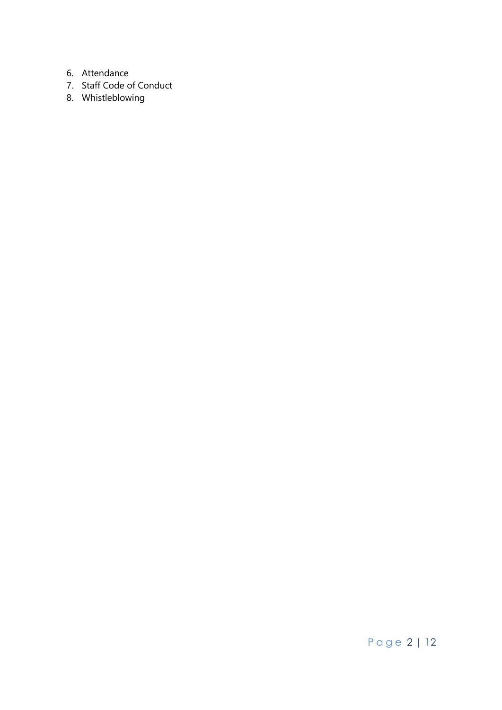- 6. Attendance
- 7. Staff Code of Conduct
- 8. Whistleblowing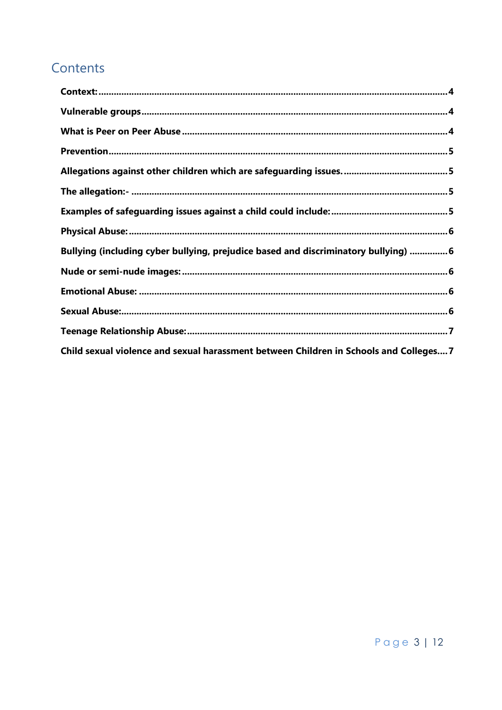## Contents

| Bullying (including cyber bullying, prejudice based and discriminatory bullying) 6    |  |
|---------------------------------------------------------------------------------------|--|
|                                                                                       |  |
|                                                                                       |  |
|                                                                                       |  |
|                                                                                       |  |
| Child sexual violence and sexual harassment between Children in Schools and Colleges7 |  |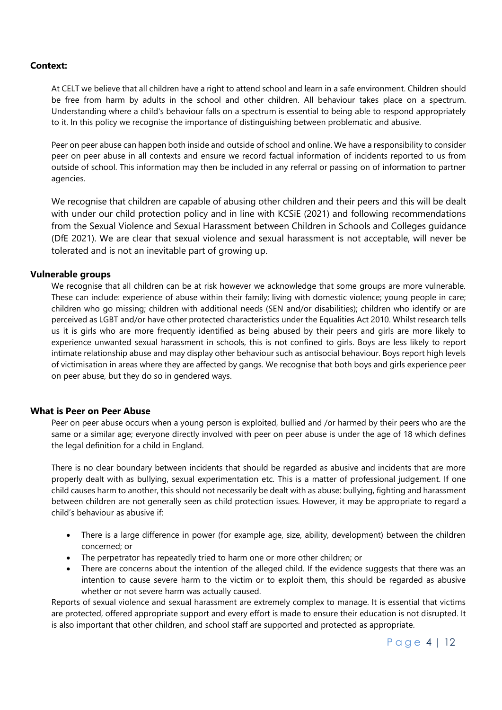#### <span id="page-3-0"></span>**Context:**

At CELT we believe that all children have a right to attend school and learn in a safe environment. Children should be free from harm by adults in the school and other children. All behaviour takes place on a spectrum. Understanding where a child's behaviour falls on a spectrum is essential to being able to respond appropriately to it. In this policy we recognise the importance of distinguishing between problematic and abusive.

Peer on peer abuse can happen both inside and outside of school and online. We have a responsibility to consider peer on peer abuse in all contexts and ensure we record factual information of incidents reported to us from outside of school. This information may then be included in any referral or passing on of information to partner agencies.

We recognise that children are capable of abusing other children and their peers and this will be dealt with under our child protection policy and in line with KCSiE (2021) and following recommendations from the Sexual Violence and Sexual Harassment between Children in Schools and Colleges guidance (DfE 2021). We are clear that sexual violence and sexual harassment is not acceptable, will never be tolerated and is not an inevitable part of growing up.

#### <span id="page-3-1"></span>**Vulnerable groups**

We recognise that all children can be at risk however we acknowledge that some groups are more vulnerable. These can include: experience of abuse within their family; living with domestic violence; young people in care; children who go missing; children with additional needs (SEN and/or disabilities); children who identify or are perceived as LGBT and/or have other protected characteristics under the Equalities Act 2010. Whilst research tells us it is girls who are more frequently identified as being abused by their peers and girls are more likely to experience unwanted sexual harassment in schools, this is not confined to girls. Boys are less likely to report intimate relationship abuse and may display other behaviour such as antisocial behaviour. Boys report high levels of victimisation in areas where they are affected by gangs. We recognise that both boys and girls experience peer on peer abuse, but they do so in gendered ways.

#### <span id="page-3-2"></span>**What is Peer on Peer Abuse**

Peer on peer abuse occurs when a young person is exploited, bullied and /or harmed by their peers who are the same or a similar age; everyone directly involved with peer on peer abuse is under the age of 18 which defines the legal definition for a child in England.

There is no clear boundary between incidents that should be regarded as abusive and incidents that are more properly dealt with as bullying, sexual experimentation etc. This is a matter of professional judgement. If one child causes harm to another, this should not necessarily be dealt with as abuse: bullying, fighting and harassment between children are not generally seen as child protection issues. However, it may be appropriate to regard a child's behaviour as abusive if:

- There is a large difference in power (for example age, size, ability, development) between the children concerned; or
- The perpetrator has repeatedly tried to harm one or more other children; or
- There are concerns about the intention of the alleged child. If the evidence suggests that there was an intention to cause severe harm to the victim or to exploit them, this should be regarded as abusive whether or not severe harm was actually caused.

Reports of sexual violence and sexual harassment are extremely complex to manage. It is essential that victims are protected, offered appropriate support and every effort is made to ensure their education is not disrupted. It is also important that other children, and school staff are supported and protected as appropriate.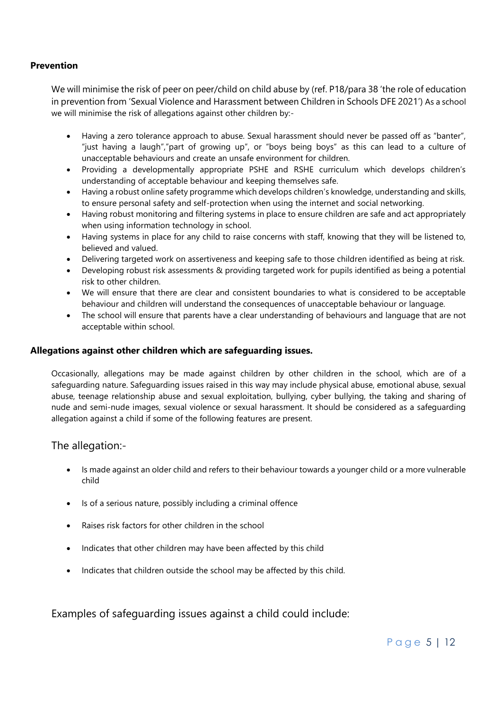#### <span id="page-4-0"></span>**Prevention**

We will minimise the risk of peer on peer/child on child abuse by (ref. P18/para 38 'the role of education in prevention from 'Sexual Violence and Harassment between Children in Schools DFE 2021') As a school we will minimise the risk of allegations against other children by:-

- Having a zero tolerance approach to abuse. Sexual harassment should never be passed off as "banter", "just having a laugh","part of growing up", or "boys being boys" as this can lead to a culture of unacceptable behaviours and create an unsafe environment for children.
- Providing a developmentally appropriate PSHE and RSHE curriculum which develops children's understanding of acceptable behaviour and keeping themselves safe.
- Having a robust online safety programme which develops children's knowledge, understanding and skills, to ensure personal safety and self-protection when using the internet and social networking.
- Having robust monitoring and filtering systems in place to ensure children are safe and act appropriately when using information technology in school.
- Having systems in place for any child to raise concerns with staff, knowing that they will be listened to, believed and valued.
- Delivering targeted work on assertiveness and keeping safe to those children identified as being at risk.
- Developing robust risk assessments & providing targeted work for pupils identified as being a potential risk to other children.
- We will ensure that there are clear and consistent boundaries to what is considered to be acceptable behaviour and children will understand the consequences of unacceptable behaviour or language.
- The school will ensure that parents have a clear understanding of behaviours and language that are not acceptable within school.

#### <span id="page-4-1"></span>**Allegations against other children which are safeguarding issues.**

Occasionally, allegations may be made against children by other children in the school, which are of a safeguarding nature. Safeguarding issues raised in this way may include physical abuse, emotional abuse, sexual abuse, teenage relationship abuse and sexual exploitation, bullying, cyber bullying, the taking and sharing of nude and semi-nude images, sexual violence or sexual harassment. It should be considered as a safeguarding allegation against a child if some of the following features are present.

<span id="page-4-2"></span>The allegation:-

- Is made against an older child and refers to their behaviour towards a younger child or a more vulnerable child
- Is of a serious nature, possibly including a criminal offence
- Raises risk factors for other children in the school
- Indicates that other children may have been affected by this child
- Indicates that children outside the school may be affected by this child.

<span id="page-4-3"></span>Examples of safeguarding issues against a child could include: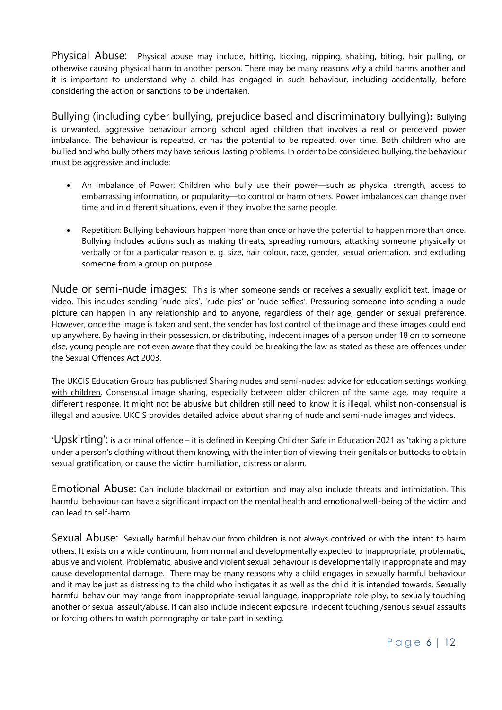<span id="page-5-0"></span>Physical Abuse: Physical abuse may include, hitting, kicking, nipping, shaking, biting, hair pulling, or otherwise causing physical harm to another person. There may be many reasons why a child harms another and it is important to understand why a child has engaged in such behaviour, including accidentally, before considering the action or sanctions to be undertaken.

<span id="page-5-1"></span>Bullying (including cyber bullying, prejudice based and discriminatory bullying)**:** Bullying is unwanted, aggressive behaviour among school aged children that involves a real or perceived power imbalance. The behaviour is repeated, or has the potential to be repeated, over time. Both children who are bullied and who bully others may have serious, lasting problems. In order to be considered bullying, the behaviour must be aggressive and include:

- An Imbalance of Power: Children who bully use their power—such as physical strength, access to embarrassing information, or popularity—to control or harm others. Power imbalances can change over time and in different situations, even if they involve the same people.
- Repetition: Bullying behaviours happen more than once or have the potential to happen more than once. Bullying includes actions such as making threats, spreading rumours, attacking someone physically or verbally or for a particular reason e. g. size, hair colour, race, gender, sexual orientation, and excluding someone from a group on purpose.

<span id="page-5-2"></span>Nude or semi-nude images: This is when someone sends or receives a sexually explicit text, image or video. This includes sending 'nude pics', 'rude pics' or 'nude selfies'. Pressuring someone into sending a nude picture can happen in any relationship and to anyone, regardless of their age, gender or sexual preference. However, once the image is taken and sent, the sender has lost control of the image and these images could end up anywhere. By having in their possession, or distributing, indecent images of a person under 18 on to someone else, young people are not even aware that they could be breaking the law as stated as these are offences under the Sexual Offences Act 2003.

The UKCIS Education Group has published Sharing nudes and semi-nudes: advice for education settings working [with children.](https://www.gov.uk/government/publications/sharing-nudes-and-semi-nudes-advice-for-education-settings-working-with-children-and-young-people/sharing-nudes-and-semi-nudes-advice-for-education-settings-working-with-children-and-young-people) Consensual image sharing, especially between older children of the same age, may require a different response. It might not be abusive but children still need to know it is illegal, whilst non-consensual is illegal and abusive. UKCIS provides detailed advice about sharing of nude and semi-nude images and videos.

**'**Upskirting': is a criminal offence – it is defined in Keeping Children Safe in Education 2021 as 'taking a picture under a person's clothing without them knowing, with the intention of viewing their genitals or buttocks to obtain sexual gratification, or cause the victim humiliation, distress or alarm.

<span id="page-5-3"></span>Emotional Abuse: Can include blackmail or extortion and may also include threats and intimidation. This harmful behaviour can have a significant impact on the mental health and emotional well-being of the victim and can lead to self-harm.

<span id="page-5-4"></span>Sexual Abuse: Sexually harmful behaviour from children is not always contrived or with the intent to harm others. It exists on a wide continuum, from normal and developmentally expected to inappropriate, problematic, abusive and violent. Problematic, abusive and violent sexual behaviour is developmentally inappropriate and may cause developmental damage. There may be many reasons why a child engages in sexually harmful behaviour and it may be just as distressing to the child who instigates it as well as the child it is intended towards. Sexually harmful behaviour may range from inappropriate sexual language, inappropriate role play, to sexually touching another or sexual assault/abuse. It can also include indecent exposure, indecent touching /serious sexual assaults or forcing others to watch pornography or take part in sexting.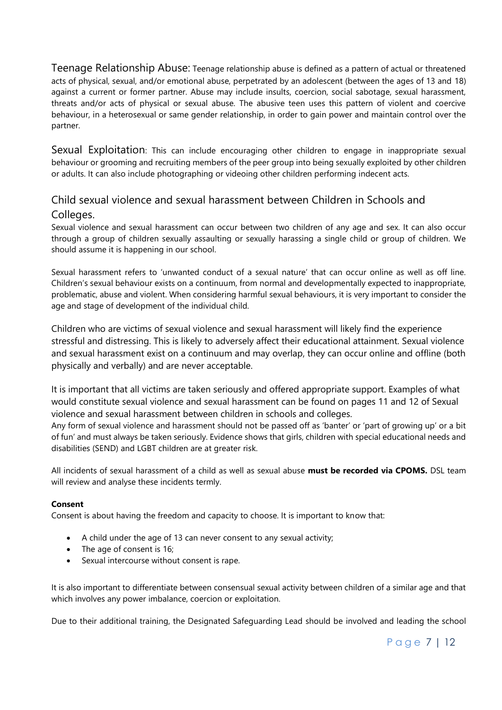<span id="page-6-0"></span>Teenage Relationship Abuse: Teenage relationship abuse is defined as a pattern of actual or threatened acts of physical, sexual, and/or emotional abuse, perpetrated by an adolescent (between the ages of 13 and 18) against a current or former partner. Abuse may include insults, coercion, social sabotage, sexual harassment, threats and/or acts of physical or sexual abuse. The abusive teen uses this pattern of violent and coercive behaviour, in a heterosexual or same gender relationship, in order to gain power and maintain control over the partner.

Sexual Exploitation: This can include encouraging other children to engage in inappropriate sexual behaviour or grooming and recruiting members of the peer group into being sexually exploited by other children or adults. It can also include photographing or videoing other children performing indecent acts.

### <span id="page-6-1"></span>Child sexual violence and sexual harassment between Children in Schools and Colleges.

Sexual violence and sexual harassment can occur between two children of any age and sex. It can also occur through a group of children sexually assaulting or sexually harassing a single child or group of children. We should assume it is happening in our school.

Sexual harassment refers to 'unwanted conduct of a sexual nature' that can occur online as well as off line. Children's sexual behaviour exists on a continuum, from normal and developmentally expected to inappropriate, problematic, abuse and violent. When considering harmful sexual behaviours, it is very important to consider the age and stage of development of the individual child.

Children who are victims of sexual violence and sexual harassment will likely find the experience stressful and distressing. This is likely to adversely affect their educational attainment. Sexual violence and sexual harassment exist on a continuum and may overlap, they can occur online and offline (both physically and verbally) and are never acceptable.

It is important that all victims are taken seriously and offered appropriate support. Examples of what would constitute sexual violence and sexual harassment can be found on pages 11 and 12 of Sexual violence and sexual harassment between children in schools and colleges.

Any form of sexual violence and harassment should not be passed off as 'banter' or 'part of growing up' or a bit of fun' and must always be taken seriously. Evidence shows that girls, children with special educational needs and disabilities (SEND) and LGBT children are at greater risk.

All incidents of sexual harassment of a child as well as sexual abuse **must be recorded via CPOMS.** DSL team will review and analyse these incidents termly.

#### **Consent**

Consent is about having the freedom and capacity to choose. It is important to know that:

- A child under the age of 13 can never consent to any sexual activity;
- The age of consent is 16;
- Sexual intercourse without consent is rape.

It is also important to differentiate between consensual sexual activity between children of a similar age and that which involves any power imbalance, coercion or exploitation.

Due to their additional training, the Designated Safeguarding Lead should be involved and leading the school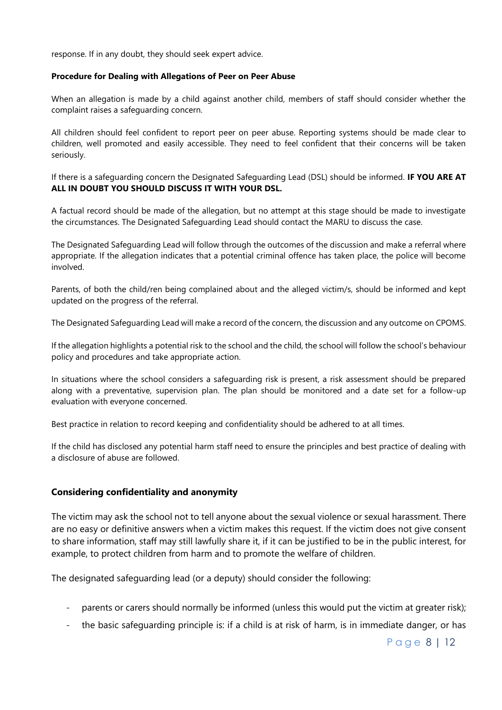response. If in any doubt, they should seek expert advice.

#### **Procedure for Dealing with Allegations of Peer on Peer Abuse**

When an allegation is made by a child against another child, members of staff should consider whether the complaint raises a safeguarding concern.

All children should feel confident to report peer on peer abuse. Reporting systems should be made clear to children, well promoted and easily accessible. They need to feel confident that their concerns will be taken seriously.

If there is a safeguarding concern the Designated Safeguarding Lead (DSL) should be informed. **IF YOU ARE AT ALL IN DOUBT YOU SHOULD DISCUSS IT WITH YOUR DSL.**

A factual record should be made of the allegation, but no attempt at this stage should be made to investigate the circumstances. The Designated Safeguarding Lead should contact the MARU to discuss the case.

The Designated Safeguarding Lead will follow through the outcomes of the discussion and make a referral where appropriate. If the allegation indicates that a potential criminal offence has taken place, the police will become involved.

Parents, of both the child/ren being complained about and the alleged victim/s, should be informed and kept updated on the progress of the referral.

The Designated Safeguarding Lead will make a record of the concern, the discussion and any outcome on CPOMS.

If the allegation highlights a potential risk to the school and the child, the school will follow the school's behaviour policy and procedures and take appropriate action.

In situations where the school considers a safeguarding risk is present, a risk assessment should be prepared along with a preventative, supervision plan. The plan should be monitored and a date set for a follow-up evaluation with everyone concerned.

Best practice in relation to record keeping and confidentiality should be adhered to at all times.

If the child has disclosed any potential harm staff need to ensure the principles and best practice of dealing with a disclosure of abuse are followed.

#### **Considering confidentiality and anonymity**

The victim may ask the school not to tell anyone about the sexual violence or sexual harassment. There are no easy or definitive answers when a victim makes this request. If the victim does not give consent to share information, staff may still lawfully share it, if it can be justified to be in the public interest, for example, to protect children from harm and to promote the welfare of children.

The designated safeguarding lead (or a deputy) should consider the following:

- parents or carers should normally be informed (unless this would put the victim at greater risk);
- the basic safeguarding principle is: if a child is at risk of harm, is in immediate danger, or has

P a g e 8 | 12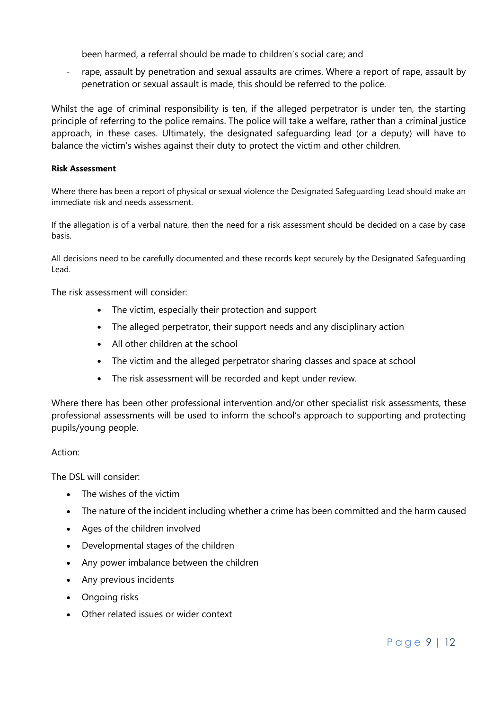been harmed, a referral should be made to children's social care; and

rape, assault by penetration and sexual assaults are crimes. Where a report of rape, assault by penetration or sexual assault is made, this should be referred to the police.

Whilst the age of criminal responsibility is ten, if the alleged perpetrator is under ten, the starting principle of referring to the police remains. The police will take a welfare, rather than a criminal justice approach, in these cases. Ultimately, the designated safeguarding lead (or a deputy) will have to balance the victim's wishes against their duty to protect the victim and other children.

#### **Risk Assessment**

Where there has been a report of physical or sexual violence the Designated Safeguarding Lead should make an immediate risk and needs assessment.

If the allegation is of a verbal nature, then the need for a risk assessment should be decided on a case by case basis.

All decisions need to be carefully documented and these records kept securely by the Designated Safeguarding Lead.

The risk assessment will consider:

- The victim, especially their protection and support
- The alleged perpetrator, their support needs and any disciplinary action
- All other children at the school
- The victim and the alleged perpetrator sharing classes and space at school
- The risk assessment will be recorded and kept under review.

Where there has been other professional intervention and/or other specialist risk assessments, these professional assessments will be used to inform the school's approach to supporting and protecting pupils/young people.

#### Action:

The DSL will consider:

- The wishes of the victim
- The nature of the incident including whether a crime has been committed and the harm caused
- Ages of the children involved
- Developmental stages of the children
- Any power imbalance between the children
- Any previous incidents
- Ongoing risks
- Other related issues or wider context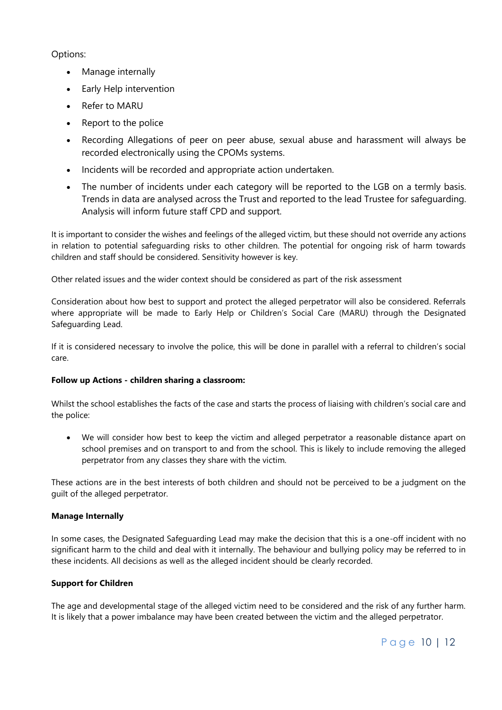Options:

- Manage internally
- Early Help intervention
- Refer to MARU
- Report to the police
- Recording Allegations of peer on peer abuse, sexual abuse and harassment will always be recorded electronically using the CPOMs systems.
- Incidents will be recorded and appropriate action undertaken.
- The number of incidents under each category will be reported to the LGB on a termly basis. Trends in data are analysed across the Trust and reported to the lead Trustee for safeguarding. Analysis will inform future staff CPD and support.

It is important to consider the wishes and feelings of the alleged victim, but these should not override any actions in relation to potential safeguarding risks to other children. The potential for ongoing risk of harm towards children and staff should be considered. Sensitivity however is key.

Other related issues and the wider context should be considered as part of the risk assessment

Consideration about how best to support and protect the alleged perpetrator will also be considered. Referrals where appropriate will be made to Early Help or Children's Social Care (MARU) through the Designated Safeguarding Lead.

If it is considered necessary to involve the police, this will be done in parallel with a referral to children's social care.

#### **Follow up Actions - children sharing a classroom:**

Whilst the school establishes the facts of the case and starts the process of liaising with children's social care and the police:

 We will consider how best to keep the victim and alleged perpetrator a reasonable distance apart on school premises and on transport to and from the school. This is likely to include removing the alleged perpetrator from any classes they share with the victim.

These actions are in the best interests of both children and should not be perceived to be a judgment on the guilt of the alleged perpetrator.

#### **Manage Internally**

In some cases, the Designated Safeguarding Lead may make the decision that this is a one-off incident with no significant harm to the child and deal with it internally. The behaviour and bullying policy may be referred to in these incidents. All decisions as well as the alleged incident should be clearly recorded.

#### **Support for Children**

The age and developmental stage of the alleged victim need to be considered and the risk of any further harm. It is likely that a power imbalance may have been created between the victim and the alleged perpetrator.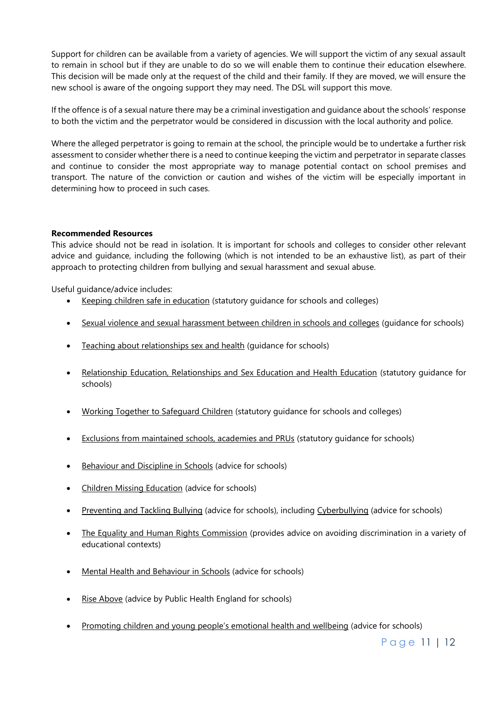Support for children can be available from a variety of agencies. We will support the victim of any sexual assault to remain in school but if they are unable to do so we will enable them to continue their education elsewhere. This decision will be made only at the request of the child and their family. If they are moved, we will ensure the new school is aware of the ongoing support they may need. The DSL will support this move.

If the offence is of a sexual nature there may be a criminal investigation and guidance about the schools' response to both the victim and the perpetrator would be considered in discussion with the local authority and police.

Where the alleged perpetrator is going to remain at the school, the principle would be to undertake a further risk assessment to consider whether there is a need to continue keeping the victim and perpetrator in separate classes and continue to consider the most appropriate way to manage potential contact on school premises and transport. The nature of the conviction or caution and wishes of the victim will be especially important in determining how to proceed in such cases.

#### **Recommended Resources**

This advice should not be read in isolation. It is important for schools and colleges to consider other relevant advice and guidance, including the following (which is not intended to be an exhaustive list), as part of their approach to protecting children from bullying and sexual harassment and sexual abuse.

Useful guidance/advice includes:

- [Keeping children safe in education](https://www.gov.uk/government/publications/keeping-children-safe-in-education--2) (statutory guidance for schools and colleges)
- [Sexual violence and sexual harassment between children in schools and colleges](https://www.gov.uk/government/publications/sexual-violence-and-sexual-harassment-between-children-in-schools-and-colleges) (guidance for schools)
- [Teaching about relationships sex and health](https://www.gov.uk/guidance/teaching-about-relationships-sex-and-health) (guidance for schools)
- [Relationship Education, Relationships and Sex Education and Health Education](https://www.gov.uk/government/publications/relationships-education-relationships-and-sex-education-rse-and-health-education) (statutory guidance for schools)
- [Working Together to Safeguard Children](https://www.gov.uk/government/publications/working-together-to-safeguard-children--2) (statutory guidance for schools and colleges)
- [Exclusions from maintained schools, academies and PRUs](https://www.gov.uk/government/publications/school-exclusion) (statutory guidance for schools)
- [Behaviour and Discipline in Schools](https://www.gov.uk/government/publications/behaviour-and-discipline-in-schools) (advice for schools)
- [Children Missing Education](https://www.gov.uk/government/publications/children-missing-education) (advice for schools)
- [Preventing and Tackling Bullying](https://www.gov.uk/government/publications/preventing-and-tackling-bullying) (advice for schools), including [Cyberbullying](https://assets.publishing.service.gov.uk/government/uploads/system/uploads/attachment_data/file/374850/Cyberbullying_Advice_for_Headteachers_and_School_Staff_121114.pdf) (advice for schools)
- [The Equality and Human Rights Commission](https://www.equalityhumanrights.com/en/advice-and-guidance) (provides advice on avoiding discrimination in a variety of educational contexts)
- [Mental Health and Behaviour in Schools](https://www.gov.uk/government/publications/mental-health-and-behaviour-in-schools--2) (advice for schools)
- [Rise Above](https://campaignresources.phe.gov.uk/schools/topics/mental-wellbeing/overview) (advice by Public Health England for schools)
- Promoting children and young [people's emotional health and wellbeing](https://www.gov.uk/government/publications/promoting-children-and-young-peoples-emotional-health-and-wellbeing) (advice for schools)

Page 11 | 12